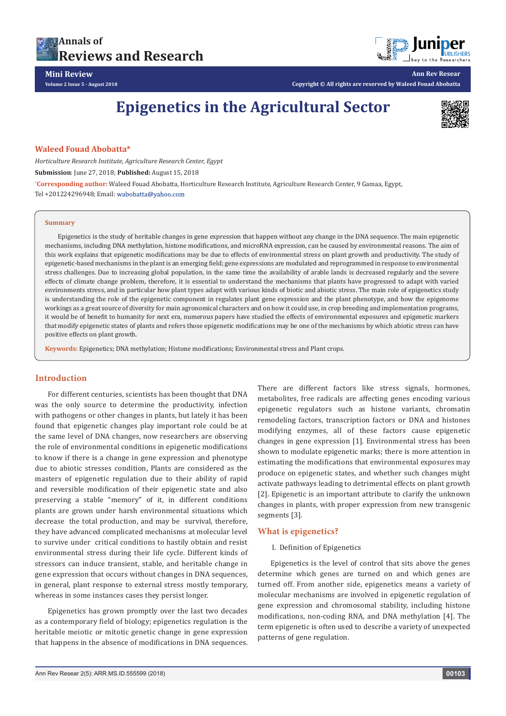

**Ann Rev Resear**

**Mini Review Volume 2 Issue 5 - August 2018**

**Copyright © All rights are reserved by Waleed Fouad Abobatta**

# **Epigenetics in the Agricultural Sector**



#### **Waleed Fouad Abobatta\***

*Horticulture Research Institute, Agriculture Research Center, Egypt*

**Submission**: June 27, 2018; **Published:** August 15, 2018

**\* Corresponding author:** Waleed Fouad Abobatta, Horticulture Research Institute, Agriculture Research Center, 9 Gamaa, Egypt, Tel +201224296948; Email: wabobatta@yahoo.com

#### **Summary**

Epigenetics is the study of heritable changes in gene expression that happen without any change in the DNA sequence. The main epigenetic mechanisms, including DNA methylation, histone modifications, and microRNA expression, can be caused by environmental reasons. The aim of this work explains that epigenetic modifications may be due to effects of environmental stress on plant growth and productivity. The study of epigenetic-based mechanisms in the plant is an emerging field; gene expressions are modulated and reprogrammed in response to environmental stress challenges. Due to increasing global population, in the same time the availability of arable lands is decreased regularly and the severe effects of climate change problem, therefore, it is essential to understand the mechanisms that plants have progressed to adapt with varied environments stress, and in particular how plant types adapt with various kinds of biotic and abiotic stress. The main role of epigenetics study is understanding the role of the epigenetic component in regulates plant gene expression and the plant phenotype, and how the epigenome workings as a great source of diversity for main agronomical characters and on how it could use, in crop breeding and implementation programs, it would be of benefit to humanity for next era, numerous papers have studied the effects of environmental exposures and epigenetic markers that modify epigenetic states of plants and refers those epigenetic modifications may be one of the mechanisms by which abiotic stress can have positive effects on plant growth.

**Keywords:** Epigenetics; DNA methylation; Histone modifications; Environmental stress and Plant crops.

# **Introduction**

For different centuries, scientists has been thought that DNA was the only source to determine the productivity, infection with pathogens or other changes in plants, but lately it has been found that epigenetic changes play important role could be at the same level of DNA changes, now researchers are observing the role of environmental conditions in epigenetic modifications to know if there is a change in gene expression and phenotype due to abiotic stresses condition, Plants are considered as the masters of epigenetic regulation due to their ability of rapid and reversible modification of their epigenetic state and also preserving a stable "memory" of it, in different conditions plants are grown under harsh environmental situations which decrease the total production, and may be survival, therefore, they have advanced complicated mechanisms at molecular level to survive under critical conditions to hastily obtain and resist environmental stress during their life cycle. Different kinds of stressors can induce transient, stable, and heritable change in gene expression that occurs without changes in DNA sequences, in general, plant response to external stress mostly temporary, whereas in some instances cases they persist longer.

Epigenetics has grown promptly over the last two decades as a contemporary field of biology; epigenetics regulation is the heritable meiotic or mitotic genetic change in gene expression that happens in the absence of modifications in DNA sequences.

There are different factors like stress signals, hormones, metabolites, free radicals are affecting genes encoding various epigenetic regulators such as histone variants, chromatin remodeling factors, transcription factors or DNA and histones modifying enzymes, all of these factors cause epigenetic changes in gene expression [1]. Environmental stress has been shown to modulate epigenetic marks; there is more attention in estimating the modifications that environmental exposures may produce on epigenetic states, and whether such changes might activate pathways leading to detrimental effects on plant growth [2]. Epigenetic is an important attribute to clarify the unknown changes in plants, with proper expression from new transgenic segments [3].

#### **What is epigenetics?**

#### I. Definition of Epigenetics

Epigenetics is the level of control that sits above the genes determine which genes are turned on and which genes are turned off. From another side, epigenetics means a variety of molecular mechanisms are involved in epigenetic regulation of gene expression and chromosomal stability, including histone modifications, non-coding RNA, and DNA methylation [4]. The term epigenetic is often used to describe a variety of unexpected patterns of gene regulation.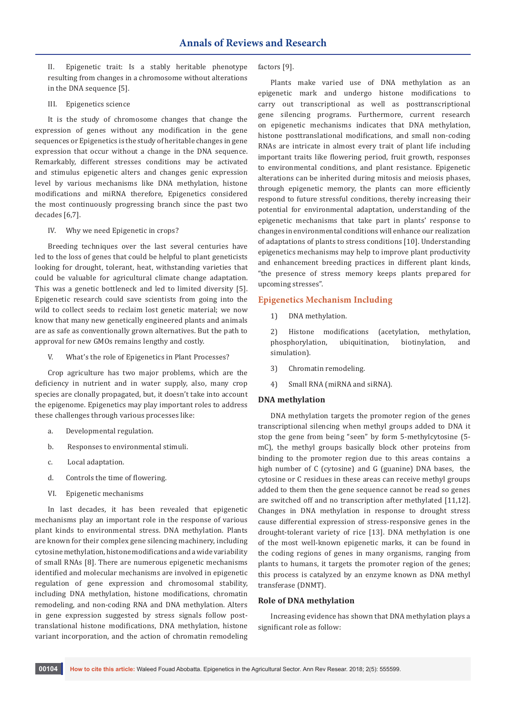II. Epigenetic trait: Is a stably heritable phenotype resulting from changes in a chromosome without alterations in the DNA sequence [5].

III. Epigenetics science

It is the study of chromosome changes that change the expression of genes without any modification in the gene sequences or Epigenetics is the study of heritable changes in gene expression that occur without a change in the DNA sequence. Remarkably, different stresses conditions may be activated and stimulus epigenetic alters and changes genic expression level by various mechanisms like DNA methylation, histone modifications and miRNA therefore, Epigenetics considered the most continuously progressing branch since the past two decades [6,7].

IV. Why we need Epigenetic in crops?

Breeding techniques over the last several centuries have led to the loss of genes that could be helpful to plant geneticists looking for drought, tolerant, heat, withstanding varieties that could be valuable for agricultural climate change adaptation. This was a genetic bottleneck and led to limited diversity [5]. Epigenetic research could save scientists from going into the wild to collect seeds to reclaim lost genetic material; we now know that many new genetically engineered plants and animals are as safe as conventionally grown alternatives. But the path to approval for new GMOs remains lengthy and costly.

V. What's the role of Epigenetics in Plant Processes?

Crop agriculture has two major problems, which are the deficiency in nutrient and in water supply, also, many crop species are clonally propagated, but, it doesn't take into account the epigenome. Epigenetics may play important roles to address these challenges through various processes like:

- a. Developmental regulation.
- b. Responses to environmental stimuli.
- c. Local adaptation.
- d. Controls the time of flowering.
- VI. Epigenetic mechanisms

In last decades, it has been revealed that epigenetic mechanisms play an important role in the response of various plant kinds to environmental stress. DNA methylation. Plants are known for their complex gene silencing machinery, including cytosine methylation, histone modifications and a wide variability of small RNAs [8]. There are numerous epigenetic mechanisms identified and molecular mechanisms are involved in epigenetic regulation of gene expression and chromosomal stability, including DNA methylation, histone modifications, chromatin remodeling, and non-coding RNA and DNA methylation. Alters in gene expression suggested by stress signals follow posttranslational histone modifications, DNA methylation, histone variant incorporation, and the action of chromatin remodeling

factors [9].

Plants make varied use of DNA methylation as an epigenetic mark and undergo histone modifications to carry out transcriptional as well as posttranscriptional gene silencing programs. Furthermore, current research on epigenetic mechanisms indicates that DNA methylation, histone posttranslational modifications, and small non-coding RNAs are intricate in almost every trait of plant life including important traits like flowering period, fruit growth, responses to environmental conditions, and plant resistance. Epigenetic alterations can be inherited during mitosis and meiosis phases, through epigenetic memory, the plants can more efficiently respond to future stressful conditions, thereby increasing their potential for environmental adaptation, understanding of the epigenetic mechanisms that take part in plants' response to changes in environmental conditions will enhance our realization of adaptations of plants to stress conditions [10]. Understanding epigenetics mechanisms may help to improve plant productivity and enhancement breeding practices in different plant kinds, "the presence of stress memory keeps plants prepared for upcoming stresses".

#### **Epigenetics Mechanism Including**

1) DNA methylation.

2) Histone modifications (acetylation, methylation, phosphorylation, ubiquitination, biotinylation, and simulation).

- 3) Chromatin remodeling.
- 4) Small RNA (miRNA and siRNA).

#### **DNA methylation**

DNA methylation targets the promoter region of the genes transcriptional silencing when methyl groups added to DNA it stop the gene from being "seen" by form 5-methylcytosine (5 mC), the methyl groups basically block other proteins from binding to the promoter region due to this areas contains a high number of C (cytosine) and G (guanine) DNA bases, the cytosine or C residues in these areas can receive methyl groups added to them then the gene sequence cannot be read so genes are switched off and no transcription after methylated [11,12]. Changes in DNA methylation in response to drought stress cause differential expression of stress-responsive genes in the drought-tolerant variety of rice [13]. DNA methylation is one of the most well-known epigenetic marks, it can be found in the coding regions of genes in many organisms, ranging from plants to humans, it targets the promoter region of the genes; this process is catalyzed by an enzyme known as DNA methyl transferase (DNMT).

## **Role of DNA methylation**

Increasing evidence has shown that DNA methylation plays a significant role as follow: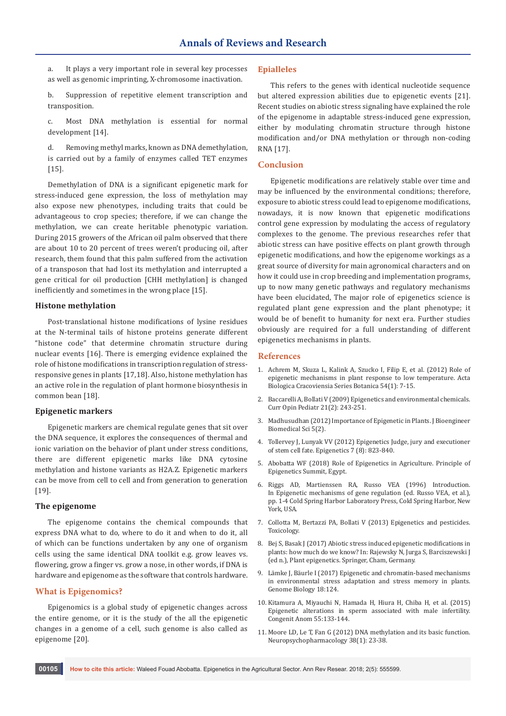a. It plays a very important role in several key processes as well as genomic imprinting, X-chromosome inactivation.

b. Suppression of repetitive element transcription and transposition.

c. Most DNA methylation is essential for normal development [14].

d. Removing methyl marks, known as DNA demethylation, is carried out by a family of enzymes called TET enzymes [15].

Demethylation of DNA is a significant epigenetic mark for stress-induced gene expression, the loss of methylation may also expose new phenotypes, including traits that could be advantageous to crop species; therefore, if we can change the methylation, we can create heritable phenotypic variation. During 2015 growers of the African oil palm observed that there are about 10 to 20 percent of trees weren't producing oil, after research, them found that this palm suffered from the activation of a transposon that had lost its methylation and interrupted a gene critical for oil production [CHH methylation] is changed inefficiently and sometimes in the wrong place [15].

## **Histone methylation**

Post-translational histone modifications of lysine residues at the N-terminal tails of histone proteins generate different "histone code" that determine chromatin structure during nuclear events [16]. There is emerging evidence explained the role of histone modifications in transcription regulation of stressresponsive genes in plants [17,18]. Also, histone methylation has an active role in the regulation of plant hormone biosynthesis in common bean [18].

#### **Epigenetic markers**

Epigenetic markers are chemical regulate genes that sit over the DNA sequence, it explores the consequences of thermal and ionic variation on the behavior of plant under stress conditions, there are different epigenetic marks like DNA cytosine methylation and histone variants as H2A.Z. Epigenetic markers can be move from cell to cell and from generation to generation [19].

# **The epigenome**

The epigenome contains the chemical compounds that express DNA what to do, where to do it and when to do it, all of which can be functions undertaken by any one of organism cells using the same identical DNA toolkit e.g. grow leaves vs. flowering, grow a finger vs. grow a nose, in other words, if DNA is hardware and epigenome as the software that controls hardware.

#### **What is Epigenomics?**

Epigenomics is a global study of epigenetic changes across the entire genome, or it is the study of the all the epigenetic changes in a genome of a cell, such genome is also called as epigenome [20].

## **Epialleles**

This refers to the genes with identical nucleotide sequence but altered expression abilities due to epigenetic events [21]. Recent studies on abiotic stress signaling have explained the role of the epigenome in adaptable stress-induced gene expression, either by modulating chromatin structure through histone modification and/or DNA methylation or through non-coding RNA [17].

# **Conclusion**

Epigenetic modifications are relatively stable over time and may be influenced by the environmental conditions; therefore, exposure to abiotic stress could lead to epigenome modifications, nowadays, it is now known that epigenetic modifications control gene expression by modulating the access of regulatory complexes to the genome. The previous researches refer that abiotic stress can have positive effects on plant growth through epigenetic modifications, and how the epigenome workings as a great source of diversity for main agronomical characters and on how it could use in crop breeding and implementation programs, up to now many genetic pathways and regulatory mechanisms have been elucidated, The major role of epigenetics science is regulated plant gene expression and the plant phenotype; it would be of benefit to humanity for next era. Further studies obviously are required for a full understanding of different epigenetics mechanisms in plants.

#### **References**

- 1. [Achrem M, Skuza L, Kalink A, Szucko I, Filip E, et al. \(2012\) Role of](https://content.sciendo.com/view/journals/abcsb/54/1/article-p7.xml)  [epigenetic mechanisms in plant response to low temperature. Acta](https://content.sciendo.com/view/journals/abcsb/54/1/article-p7.xml)  [Biologica Cracoviensia Series Botanica 54\(1\): 7-15.](https://content.sciendo.com/view/journals/abcsb/54/1/article-p7.xml)
- 2. [Baccarelli A, Bollati V \(2009\) Epigenetics and environmental chemicals.](https://www.ncbi.nlm.nih.gov/pubmed/19663042)  [Curr Opin Pediatr 21\(2\): 243-251.](https://www.ncbi.nlm.nih.gov/pubmed/19663042)
- 3. Madhusudhan (2012) Importance of Epigenetic in Plants. J Bioengineer Biomedical Sci 5(2).
- 4. [Tollervey J, Lunyak VV \(2012\) Epigenetics Judge, jury and executioner](https://www.ncbi.nlm.nih.gov/pubmed/22805743)  [of stem cell fate. Epigenetics 7 \(8\): 823-840.](https://www.ncbi.nlm.nih.gov/pubmed/22805743)
- 5. Abobatta WF (2018) Role of Epigenetics in Agriculture. Principle of Epigenetics Summit, Egypt.
- 6. Riggs AD, Martienssen RA, Russo VEA (1996) Introduction. In Epigenetic mechanisms of gene regulation (ed. Russo VEA, et al.), pp. 1-4 Cold Spring Harbor Laboratory Press, Cold Spring Harbor, New York, USA.
- 7. [Collotta M, Bertazzi PA, Bollati V \(2013\) Epigenetics and pesticides.](https://www.sciencedirect.com/science/article/pii/S0300483X1300022X?via%3Dihub)  [Toxicology.](https://www.sciencedirect.com/science/article/pii/S0300483X1300022X?via%3Dihub)
- 8. Bej S, Basak J (2017) Abiotic stress induced epigenetic modifications in plants: how much do we know? In: Rajewsky N, Jurga S, Barciszewski J (ed n.), Plant epigenetics. Springer, Cham, Germany.
- 9. [Lämke J, Bäurle I \(2017\) Epigenetic and chromatin-based mechanisms](https://genomebiology.biomedcentral.com/articles/10.1186/s13059-017-1263-6)  [in environmental stress adaptation and stress memory in plants.](https://genomebiology.biomedcentral.com/articles/10.1186/s13059-017-1263-6)  [Genome Biology 18:124.](https://genomebiology.biomedcentral.com/articles/10.1186/s13059-017-1263-6)
- 10. [Kitamura A, Miyauchi N, Hamada H, Hiura H, Chiba H, et al. \(2015\)](https://www.ncbi.nlm.nih.gov/pubmed/26212350)  [Epigenetic alterations in sperm associated with male infertility.](https://www.ncbi.nlm.nih.gov/pubmed/26212350)  [Congenit Anom 55:133-144.](https://www.ncbi.nlm.nih.gov/pubmed/26212350)
- 11. [Moore LD, Le T, Fan G \(2012\) DNA methylation and its basic function.](https://www.ncbi.nlm.nih.gov/pubmed/22781841)  [Neuropsychopharmacology 38\(1\): 23-38.](https://www.ncbi.nlm.nih.gov/pubmed/22781841)